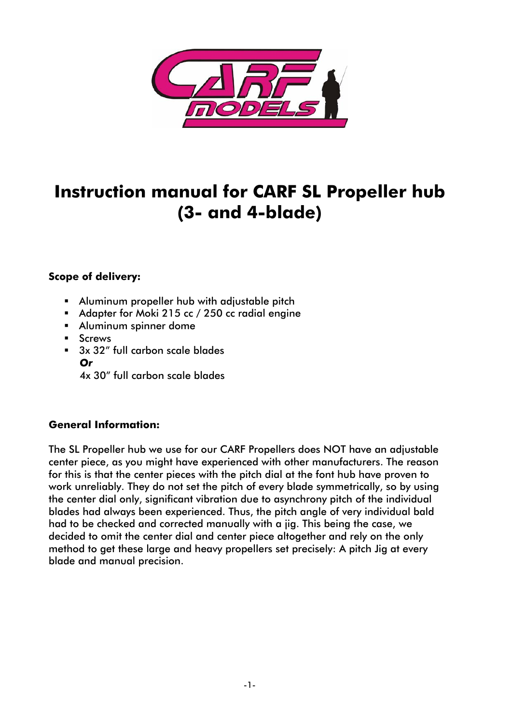

### **Instruction manual for CARF SL Propeller hub (3- and 4-blade)**

#### **Scope of delivery:**

- Aluminum propeller hub with adjustable pitch
- Adapter for Moki 215 cc / 250 cc radial engine
- Aluminum spinner dome
- **Screws**
- $\overline{\phantom{a}}$  3x 32" full carbon scale blades *Or*
	- 4x 30" full carbon scale blades

#### **General Information:**

The SL Propeller hub we use for our CARF Propellers does NOT have an adjustable center piece, as you might have experienced with other manufacturers. The reason for this is that the center pieces with the pitch dial at the font hub have proven to work unreliably. They do not set the pitch of every blade symmetrically, so by using the center dial only, significant vibration due to asynchrony pitch of the individual blades had always been experienced. Thus, the pitch angle of very individual bald had to be checked and corrected manually with a jig. This being the case, we decided to omit the center dial and center piece altogether and rely on the only method to get these large and heavy propellers set precisely: A pitch Jig at every blade and manual precision.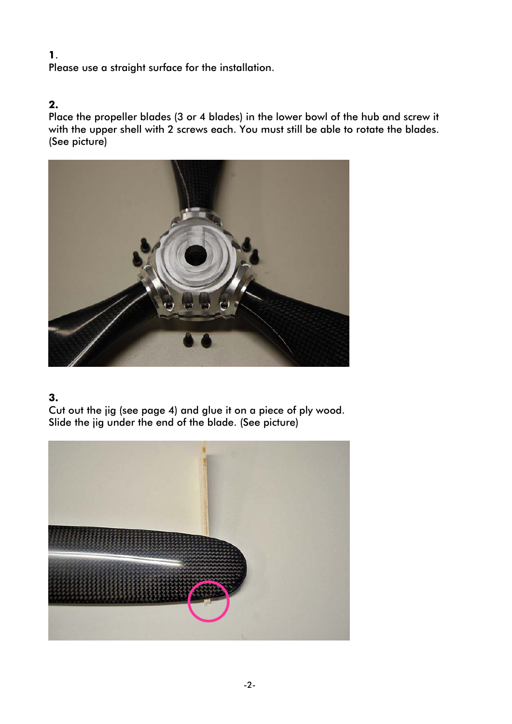#### **1**.

Please use a straight surface for the installation.

#### **2.**

Place the propeller blades (3 or 4 blades) in the lower bowl of the hub and screw it with the upper shell with 2 screws each. You must still be able to rotate the blades. (See picture)



#### **3.**

Cut out the jig (see page 4) and glue it on a piece of ply wood. Slide the jig under the end of the blade. (See picture)

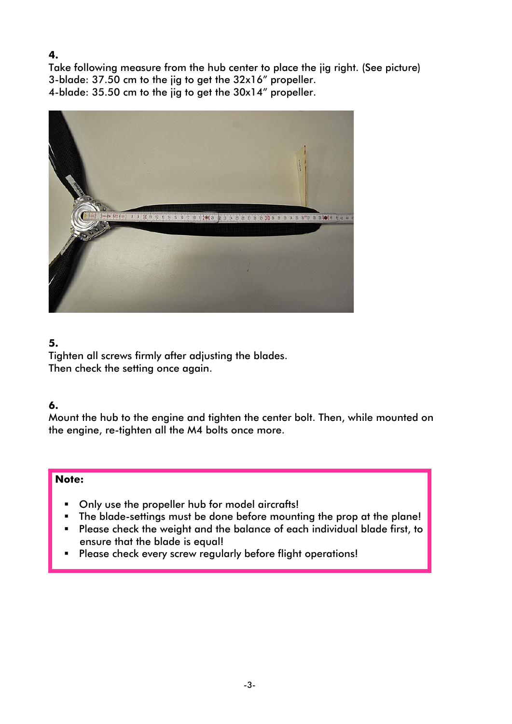#### **4.**

Take following measure from the hub center to place the jig right. (See picture) 3-blade: 37.50 cm to the jig to get the 32x16" propeller. 4-blade: 35.50 cm to the jig to get the 30x14" propeller.



#### **5.**

Tighten all screws firmly after adjusting the blades. Then check the setting once again.

#### **6.**

Mount the hub to the engine and tighten the center bolt. Then, while mounted on the engine, re-tighten all the M4 bolts once more.

#### **Note:**

- Only use the propeller hub for model aircrafts!
- **The blade-settings must be done before mounting the prop at the plane!**
- Please check the weight and the balance of each individual blade first, to ensure that the blade is equal!
- **Please check every screw regularly before flight operations!**